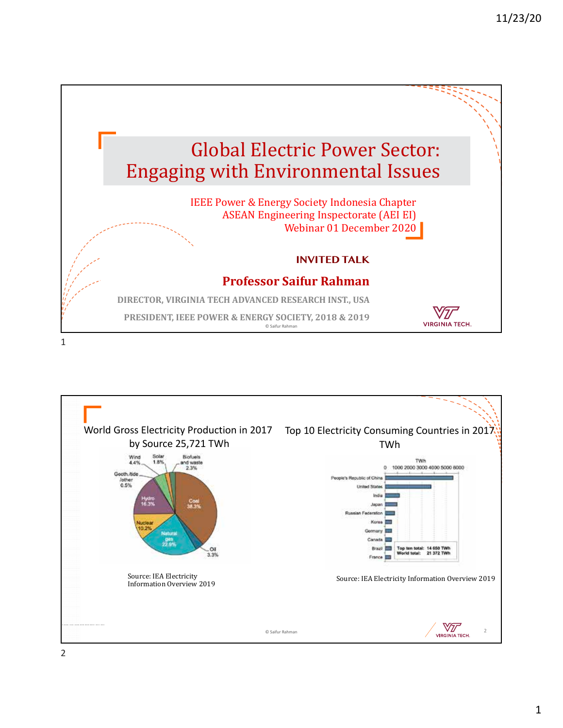

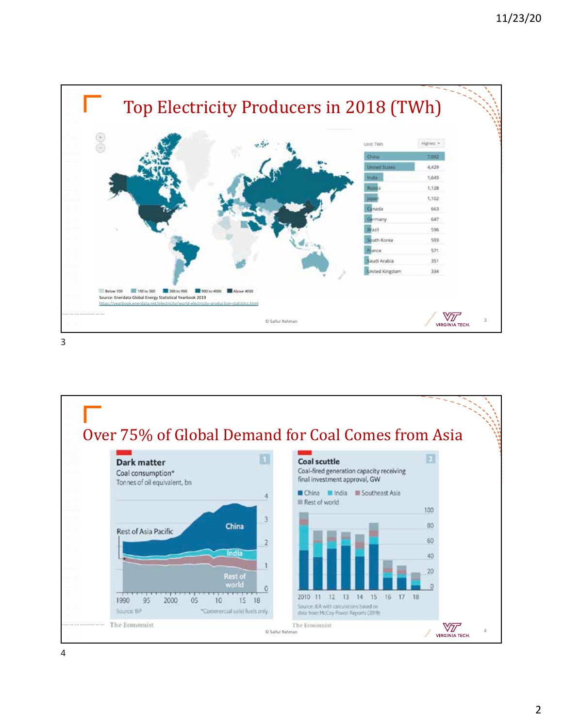

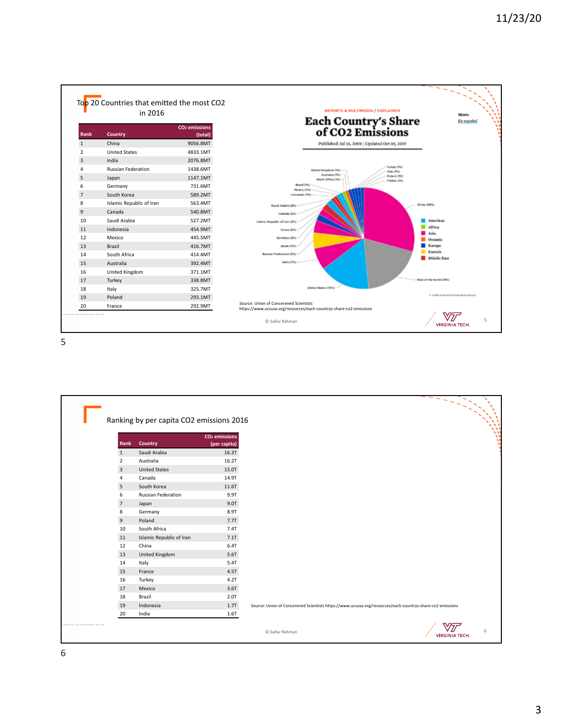

|                |                           | CO <sub>2</sub> emissions |                                                                                                           |
|----------------|---------------------------|---------------------------|-----------------------------------------------------------------------------------------------------------|
| Rank           | Country                   | (per capita)              |                                                                                                           |
| 1              | Saudi Arabia              | 16.3T                     |                                                                                                           |
| $\overline{2}$ | Australia                 | 16.2T                     |                                                                                                           |
| 3              | <b>United States</b>      | 15.0T                     |                                                                                                           |
| 4              | Canada                    | 14.9T                     |                                                                                                           |
| 5              | South Korea               | 11.6T                     |                                                                                                           |
| 6              | <b>Russian Federation</b> | 9.9T                      |                                                                                                           |
| $\overline{7}$ | Japan                     | 9.0T                      |                                                                                                           |
| 8              | Germany                   | 8.9T                      |                                                                                                           |
| 9              | Poland                    | 7.7T                      |                                                                                                           |
| 10             | South Africa              | 7.4T                      |                                                                                                           |
| 11             | Islamic Republic of Iran  | $7.1$ T                   |                                                                                                           |
| 12             | China                     | 6.4T                      |                                                                                                           |
| 13             | <b>United Kingdom</b>     | 5.6T                      |                                                                                                           |
| 14             | Italy                     | 5.4T                      |                                                                                                           |
| 15             | France                    | 4.5T                      |                                                                                                           |
| 16             | Turkey                    | 4.2T                      |                                                                                                           |
| 17             | Mexico                    | 3.6T                      |                                                                                                           |
| 18             | Brazil                    | 2.0T                      |                                                                                                           |
| 19             | Indonesia                 | 1.7T                      | Source: Union of Concerened Scientists https://www.ucsusa.org/resources/each-countrys-share-co2-emissions |
| 20             | India                     | 1.6T                      |                                                                                                           |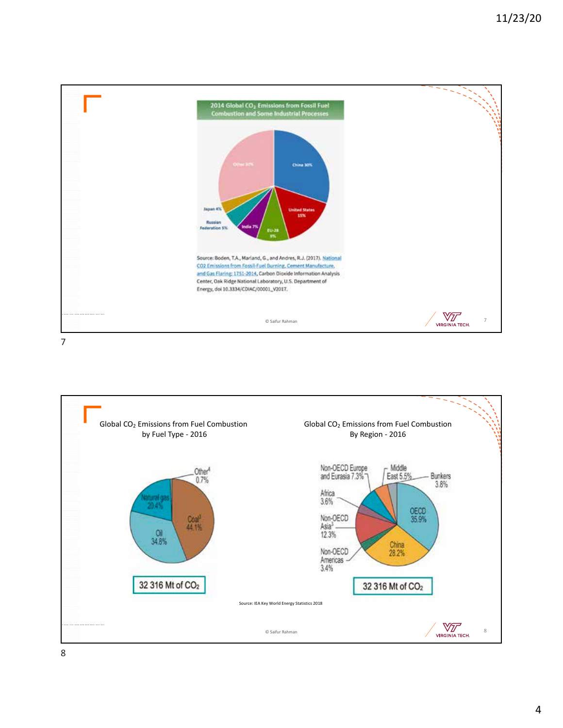

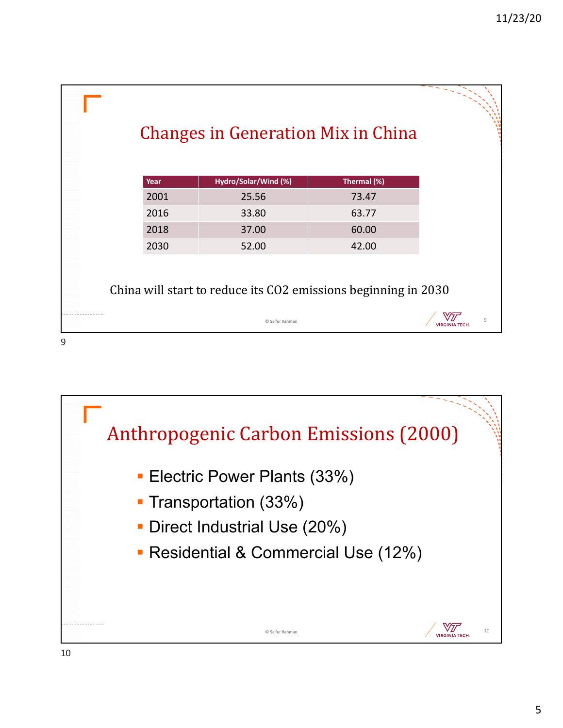|      |                      | <b>Changes in Generation Mix in China</b>                      |  |
|------|----------------------|----------------------------------------------------------------|--|
| Year | Hydro/Solar/Wind (%) | Thermal (%)                                                    |  |
| 2001 | 25.56                | 73.47                                                          |  |
| 2016 | 33.80                | 63.77                                                          |  |
| 2018 | 37.00                | 60.00                                                          |  |
| 2030 | 52.00                | 42.00                                                          |  |
|      |                      | China will start to reduce its CO2 emissions beginning in 2030 |  |
|      |                      | 9                                                              |  |
|      |                      |                                                                |  |

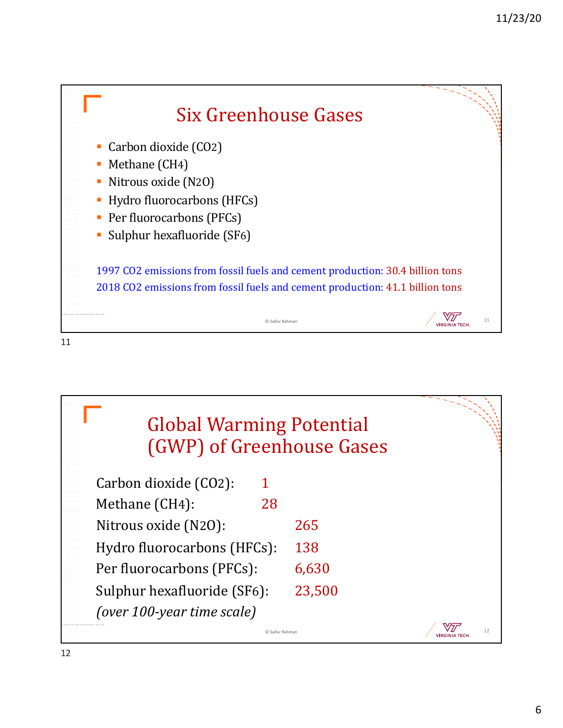

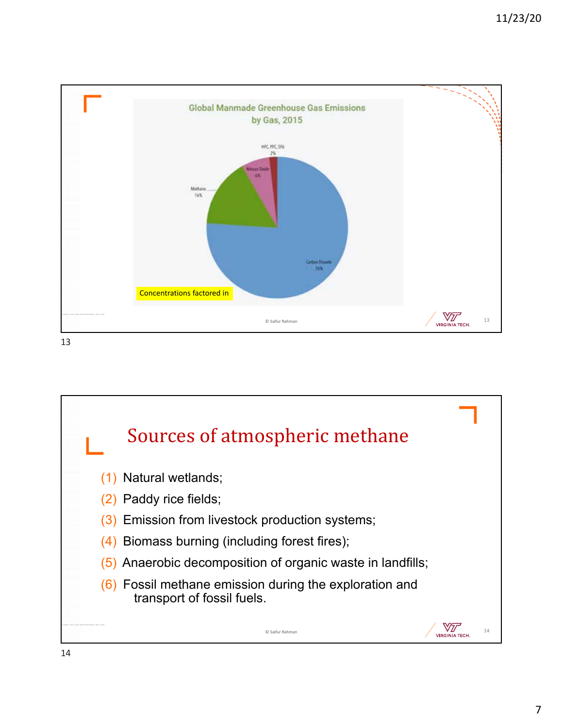

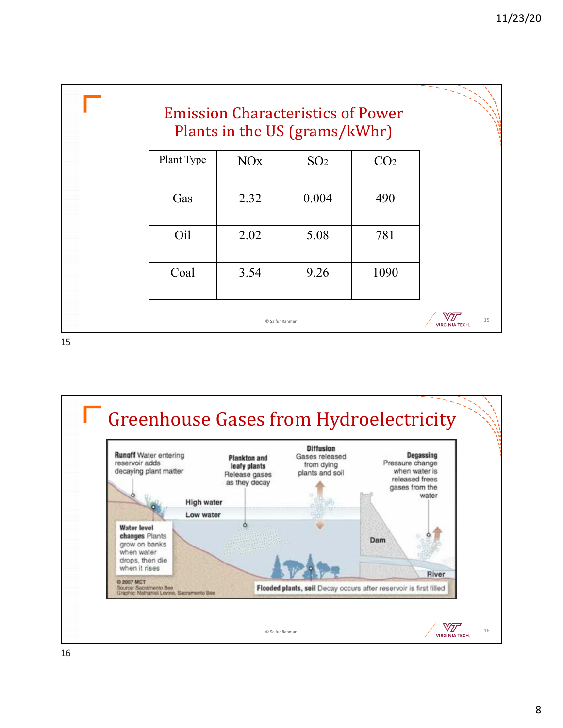

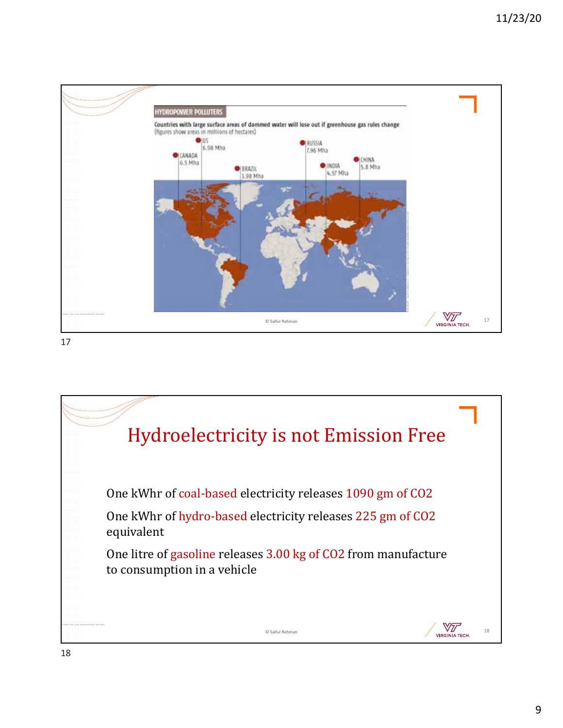

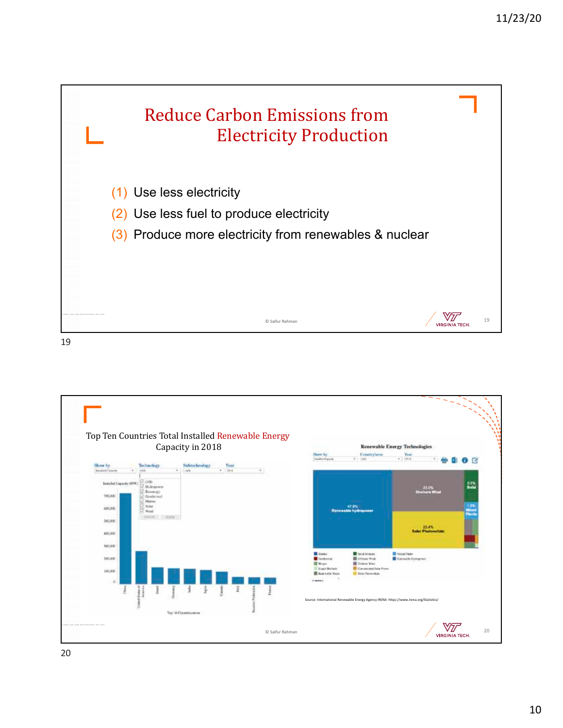

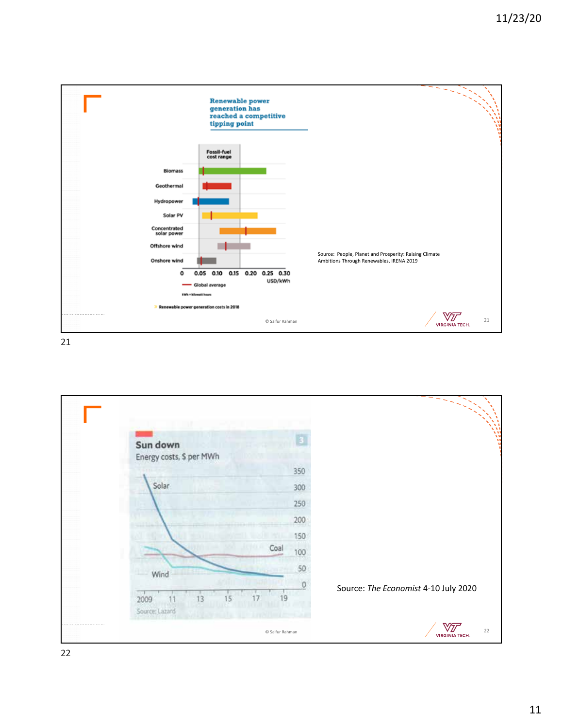

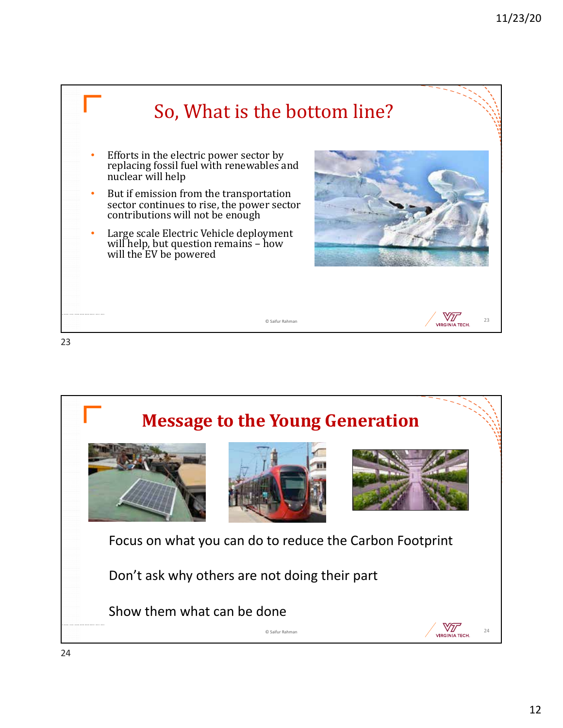